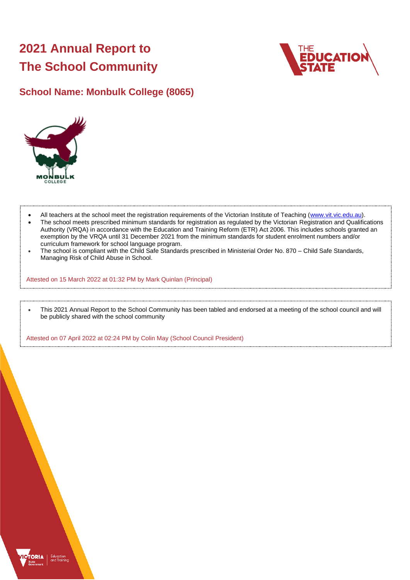# **2021 Annual Report to The School Community**



# **School Name: Monbulk College (8065)**



- All teachers at the school meet the registration requirements of the Victorian Institute of Teaching [\(www.vit.vic.edu.au\)](https://www.vit.vic.edu.au/).
- The school meets prescribed minimum standards for registration as regulated by the Victorian Registration and Qualifications Authority (VRQA) in accordance with the Education and Training Reform (ETR) Act 2006. This includes schools granted an exemption by the VRQA until 31 December 2021 from the minimum standards for student enrolment numbers and/or curriculum framework for school language program.
- The school is compliant with the Child Safe Standards prescribed in Ministerial Order No. 870 Child Safe Standards, Managing Risk of Child Abuse in School.

Attested on 15 March 2022 at 01:32 PM by Mark Quinlan (Principal)

• This 2021 Annual Report to the School Community has been tabled and endorsed at a meeting of the school council and will be publicly shared with the school community

Attested on 07 April 2022 at 02:24 PM by Colin May (School Council President)

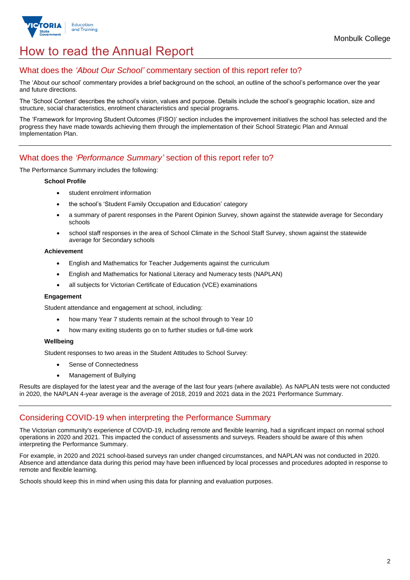

# How to read the Annual Report

## What does the *'About Our School'* commentary section of this report refer to?

The 'About our school' commentary provides a brief background on the school, an outline of the school's performance over the year and future directions.

The 'School Context' describes the school's vision, values and purpose. Details include the school's geographic location, size and structure, social characteristics, enrolment characteristics and special programs.

The 'Framework for Improving Student Outcomes (FISO)' section includes the improvement initiatives the school has selected and the progress they have made towards achieving them through the implementation of their School Strategic Plan and Annual Implementation Plan.

## What does the *'Performance Summary'* section of this report refer to?

The Performance Summary includes the following:

#### **School Profile**

- student enrolment information
- the school's 'Student Family Occupation and Education' category
- a summary of parent responses in the Parent Opinion Survey, shown against the statewide average for Secondary schools
- school staff responses in the area of School Climate in the School Staff Survey, shown against the statewide average for Secondary schools

#### **Achievement**

- English and Mathematics for Teacher Judgements against the curriculum
- English and Mathematics for National Literacy and Numeracy tests (NAPLAN)
- all subjects for Victorian Certificate of Education (VCE) examinations

#### **Engagement**

Student attendance and engagement at school, including:

- how many Year 7 students remain at the school through to Year 10
- how many exiting students go on to further studies or full-time work

#### **Wellbeing**

Student responses to two areas in the Student Attitudes to School Survey:

- Sense of Connectedness
- Management of Bullying

Results are displayed for the latest year and the average of the last four years (where available). As NAPLAN tests were not conducted in 2020, the NAPLAN 4-year average is the average of 2018, 2019 and 2021 data in the 2021 Performance Summary.

### Considering COVID-19 when interpreting the Performance Summary

The Victorian community's experience of COVID-19, including remote and flexible learning, had a significant impact on normal school operations in 2020 and 2021. This impacted the conduct of assessments and surveys. Readers should be aware of this when interpreting the Performance Summary.

For example, in 2020 and 2021 school-based surveys ran under changed circumstances, and NAPLAN was not conducted in 2020. Absence and attendance data during this period may have been influenced by local processes and procedures adopted in response to remote and flexible learning.

Schools should keep this in mind when using this data for planning and evaluation purposes.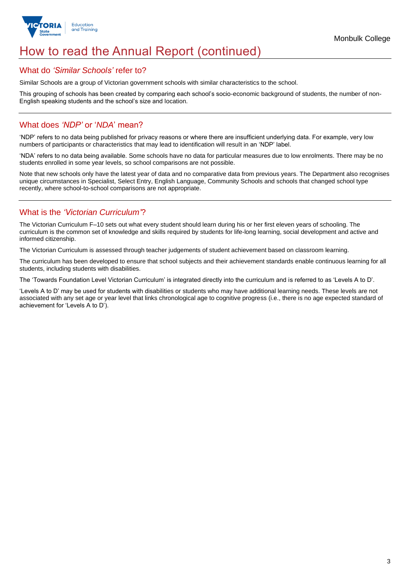

# How to read the Annual Report (continued)

### What do *'Similar Schools'* refer to?

Similar Schools are a group of Victorian government schools with similar characteristics to the school.

This grouping of schools has been created by comparing each school's socio-economic background of students, the number of non-English speaking students and the school's size and location.

## What does *'NDP'* or '*NDA*' mean?

'NDP' refers to no data being published for privacy reasons or where there are insufficient underlying data. For example, very low numbers of participants or characteristics that may lead to identification will result in an 'NDP' label.

'NDA' refers to no data being available. Some schools have no data for particular measures due to low enrolments. There may be no students enrolled in some year levels, so school comparisons are not possible.

Note that new schools only have the latest year of data and no comparative data from previous years. The Department also recognises unique circumstances in Specialist, Select Entry, English Language, Community Schools and schools that changed school type recently, where school-to-school comparisons are not appropriate.

## What is the *'Victorian Curriculum'*?

The Victorian Curriculum F–10 sets out what every student should learn during his or her first eleven years of schooling. The curriculum is the common set of knowledge and skills required by students for life-long learning, social development and active and informed citizenship.

The Victorian Curriculum is assessed through teacher judgements of student achievement based on classroom learning.

The curriculum has been developed to ensure that school subjects and their achievement standards enable continuous learning for all students, including students with disabilities.

The 'Towards Foundation Level Victorian Curriculum' is integrated directly into the curriculum and is referred to as 'Levels A to D'.

'Levels A to D' may be used for students with disabilities or students who may have additional learning needs. These levels are not associated with any set age or year level that links chronological age to cognitive progress (i.e., there is no age expected standard of achievement for 'Levels A to D').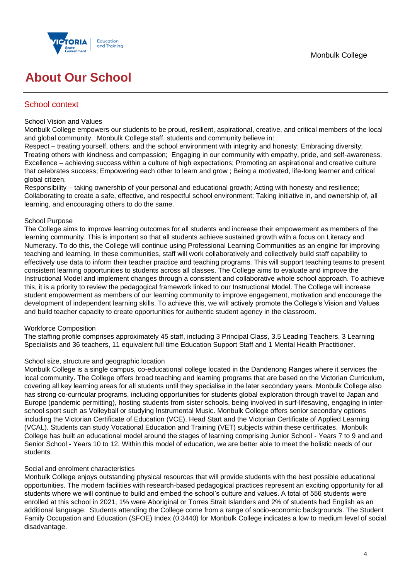

# **About Our School**

## School context

#### School Vision and Values

Monbulk College empowers our students to be proud, resilient, aspirational, creative, and critical members of the local and global community. Monbulk College staff, students and community believe in:

Respect – treating yourself, others, and the school environment with integrity and honesty; Embracing diversity; Treating others with kindness and compassion; Engaging in our community with empathy, pride, and self-awareness. Excellence – achieving success within a culture of high expectations; Promoting an aspirational and creative culture that celebrates success; Empowering each other to learn and grow ; Being a motivated, life-long learner and critical global citizen.

Responsibility – taking ownership of your personal and educational growth; Acting with honesty and resilience; Collaborating to create a safe, effective, and respectful school environment; Taking initiative in, and ownership of, all learning, and encouraging others to do the same.

#### School Purpose

The College aims to improve learning outcomes for all students and increase their empowerment as members of the learning community. This is important so that all students achieve sustained growth with a focus on Literacy and Numeracy. To do this, the College will continue using Professional Learning Communities as an engine for improving teaching and learning. In these communities, staff will work collaboratively and collectively build staff capability to effectively use data to inform their teacher practice and teaching programs. This will support teaching teams to present consistent learning opportunities to students across all classes. The College aims to evaluate and improve the Instructional Model and implement changes through a consistent and collaborative whole school approach. To achieve this, it is a priority to review the pedagogical framework linked to our Instructional Model. The College will increase student empowerment as members of our learning community to improve engagement, motivation and encourage the development of independent learning skills. To achieve this, we will actively promote the College's Vision and Values and build teacher capacity to create opportunities for authentic student agency in the classroom.

#### Workforce Composition

The staffing profile comprises approximately 45 staff, including 3 Principal Class, 3.5 Leading Teachers, 3 Learning Specialists and 36 teachers, 11 equivalent full time Education Support Staff and 1 Mental Health Practitioner.

#### School size, structure and geographic location

Monbulk College is a single campus, co-educational college located in the Dandenong Ranges where it services the local community. The College offers broad teaching and learning programs that are based on the Victorian Curriculum, covering all key learning areas for all students until they specialise in the later secondary years. Monbulk College also has strong co-curricular programs, including opportunities for students global exploration through travel to Japan and Europe (pandemic permitting), hosting students from sister schools, being involved in surf-lifesaving, engaging in interschool sport such as Volleyball or studying Instrumental Music. Monbulk College offers senior secondary options including the Victorian Certificate of Education (VCE), Head Start and the Victorian Certificate of Applied Learning (VCAL). Students can study Vocational Education and Training (VET) subjects within these certificates. Monbulk College has built an educational model around the stages of learning comprising Junior School - Years 7 to 9 and and Senior School - Years 10 to 12. Within this model of education, we are better able to meet the holistic needs of our students.

#### Social and enrolment characteristics

Monbulk College enjoys outstanding physical resources that will provide students with the best possible educational opportunities. The modern facilities with research-based pedagogical practices represent an exciting opportunity for all students where we will continue to build and embed the school's culture and values. A total of 556 students were enrolled at this school in 2021, 1% were Aboriginal or Torres Strait Islanders and 2% of students had English as an additional language. Students attending the College come from a range of socio-economic backgrounds. The Student Family Occupation and Education (SFOE) Index (0.3440) for Monbulk College indicates a low to medium level of social disadvantage.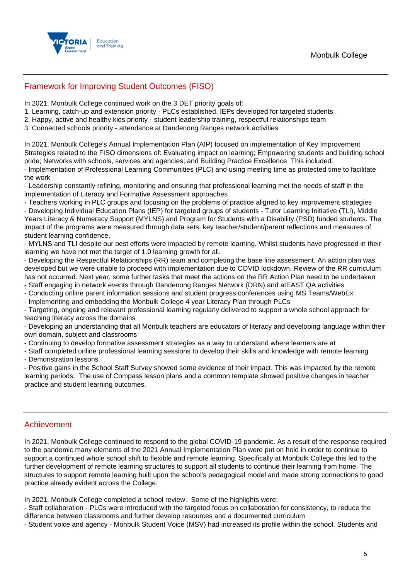

## Framework for Improving Student Outcomes (FISO)

In 2021, Monbulk College continued work on the 3 DET priority goals of:

- 1. Learning, catch-up and extension priority PLCs established, IEPs developed for targeted students,
- 2. Happy, active and healthy kids priority student leadership training, respectful relationships team
- 3. Connected schools priority attendance at Dandenong Ranges network activities

In 2021, Monbulk College's Annual Implementation Plan (AIP) focused on implementation of Key Improvement Strategies related to the FISO dimensions of: Evaluating impact on learning; Empowering students and building school pride; Networks with schools, services and agencies; and Building Practice Excellence. This included:

- Implementation of Professional Learning Communities (PLC) and using meeting time as protected time to facilitate the work

- Leadership constantly refining, monitoring and ensuring that professional learning met the needs of staff in the implementation of Literacy and Formative Assessment approaches

- Teachers working in PLC groups and focusing on the problems of practice aligned to key improvement strategies

- Developing Individual Education Plans (IEP) for targeted groups of students - Tutor Learning Initiative (TLI), Middle Years Literacy & Numeracy Support (MYLNS) and Program for Students with a Disability (PSD) funded students. The impact of the programs were measured through data sets, key teacher/student/parent reflections and measures of student learning confidence.

- MYLNS and TLI despite our best efforts were impacted by remote learning. Whilst students have progressed in their learning we have not met the target of 1.0 learning growth for all.

- Developing the Respectful Relationships (RR) team and completing the base line assessment. An action plan was developed but we were unable to proceed with implementation due to COVID lockdown. Review of the RR curriculum has not occurred. Next year, some further tasks that meet the actions on the RR Action Plan need to be undertaken

- Staff engaging in network events through Dandenong Ranges Network (DRN) and atEAST QA activities
- Conducting online parent information sessions and student progress conferences using MS Teams/WebEx - Implementing and embedding the Monbulk College 4 year Literacy Plan through PLCs

- Targeting, ongoing and relevant professional learning regularly delivered to support a whole school approach for

teaching literacy across the domains - Developing an understanding that all Monbulk teachers are educators of literacy and developing language within their own domain, subject and classrooms

- Continuing to develop formative assessment strategies as a way to understand where learners are at

- Staff completed online professional learning sessions to develop their skills and knowledge with remote learning - Demonstration lessons

- Positive gains in the School Staff Survey showed some evidence of their impact. This was impacted by the remote learning periods. The use of Compass lesson plans and a common template showed positive changes in teacher practice and student learning outcomes.

### Achievement

In 2021, Monbulk College continued to respond to the global COVID-19 pandemic. As a result of the response required to the pandemic many elements of the 2021 Annual Implementation Plan were put on hold in order to continue to support a continued whole school shift to flexible and remote learning. Specifically at Monbulk College this led to the further development of remote learning structures to support all students to continue their learning from home. The structures to support remote learning built upon the school's pedagogical model and made strong connections to good practice already evident across the College.

In 2021, Monbulk College completed a school review. Some of the highlights were:

- Staff collaboration - PLCs were introduced with the targeted focus on collaboration for consistency, to reduce the difference between classrooms and further develop resources and a documented curriculum

- Student voice and agency - Monbulk Student Voice (MSV) had increased its profile within the school. Students and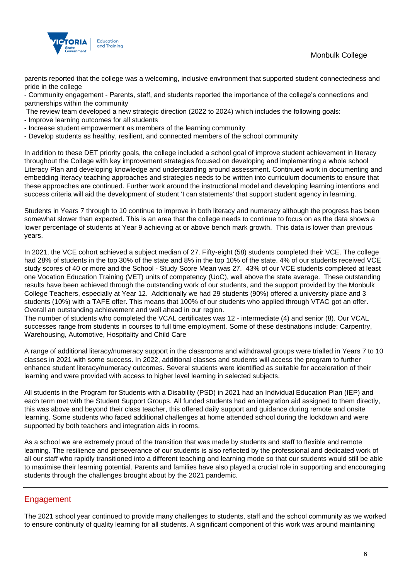



parents reported that the college was a welcoming, inclusive environment that supported student connectedness and pride in the college

- Community engagement - Parents, staff, and students reported the importance of the college's connections and partnerships within the community

The review team developed a new strategic direction (2022 to 2024) which includes the following goals:

- Improve learning outcomes for all students

- Increase student empowerment as members of the learning community

- Develop students as healthy, resilient, and connected members of the school community

In addition to these DET priority goals, the college included a school goal of improve student achievement in literacy throughout the College with key improvement strategies focused on developing and implementing a whole school Literacy Plan and developing knowledge and understanding around assessment. Continued work in documenting and embedding literacy teaching approaches and strategies needs to be written into curriculum documents to ensure that these approaches are continued. Further work around the instructional model and developing learning intentions and success criteria will aid the development of student 'I can statements' that support student agency in learning.

Students in Years 7 through to 10 continue to improve in both literacy and numeracy although the progress has been somewhat slower than expected. This is an area that the college needs to continue to focus on as the data shows a lower percentage of students at Year 9 achieving at or above bench mark growth. This data is lower than previous years.

In 2021, the VCE cohort achieved a subject median of 27. Fifty-eight (58) students completed their VCE. The college had 28% of students in the top 30% of the state and 8% in the top 10% of the state. 4% of our students received VCE study scores of 40 or more and the School - Study Score Mean was 27. 43% of our VCE students completed at least one Vocation Education Training (VET) units of competency (UoC), well above the state average. These outstanding results have been achieved through the outstanding work of our students, and the support provided by the Monbulk College Teachers, especially at Year 12. Additionally we had 29 students (90%) offered a university place and 3 students (10%) with a TAFE offer. This means that 100% of our students who applied through VTAC got an offer. Overall an outstanding achievement and well ahead in our region.

The number of students who completed the VCAL certificates was 12 - intermediate (4) and senior (8). Our VCAL successes range from students in courses to full time employment. Some of these destinations include: Carpentry, Warehousing, Automotive, Hospitality and Child Care

A range of additional literacy/numeracy support in the classrooms and withdrawal groups were trialled in Years 7 to 10 classes in 2021 with some success. In 2022, additional classes and students will access the program to further enhance student literacy/numeracy outcomes. Several students were identified as suitable for acceleration of their learning and were provided with access to higher level learning in selected subjects.

All students in the Program for Students with a Disability (PSD) in 2021 had an Individual Education Plan (IEP) and each term met with the Student Support Groups. All funded students had an integration aid assigned to them directly, this was above and beyond their class teacher, this offered daily support and guidance during remote and onsite learning. Some students who faced additional challenges at home attended school during the lockdown and were supported by both teachers and integration aids in rooms.

As a school we are extremely proud of the transition that was made by students and staff to flexible and remote learning. The resilience and perseverance of our students is also reflected by the professional and dedicated work of all our staff who rapidly transitioned into a different teaching and learning mode so that our students would still be able to maximise their learning potential. Parents and families have also played a crucial role in supporting and encouraging students through the challenges brought about by the 2021 pandemic.

## Engagement

The 2021 school year continued to provide many challenges to students, staff and the school community as we worked to ensure continuity of quality learning for all students. A significant component of this work was around maintaining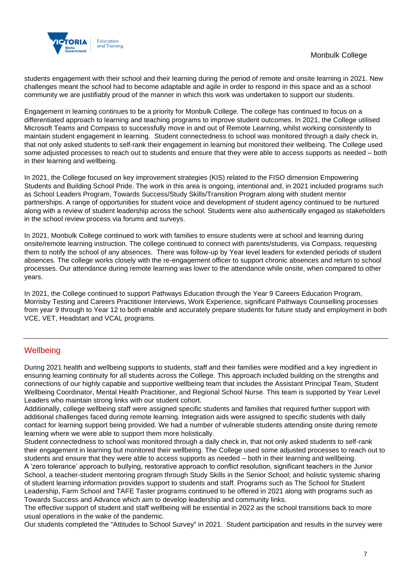

students engagement with their school and their learning during the period of remote and onsite learning in 2021. New challenges meant the school had to become adaptable and agile in order to respond in this space and as a school community we are justifiably proud of the manner in which this work was undertaken to support our students.

Engagement in learning continues to be a priority for Monbulk College. The college has continued to focus on a differentiated approach to learning and teaching programs to improve student outcomes. In 2021, the College utilised Microsoft Teams and Compass to successfully move in and out of Remote Learning, whilst working consistently to maintain student engagement in learning. Student connectedness to school was monitored through a daily check in, that not only asked students to self-rank their engagement in learning but monitored their wellbeing. The College used some adjusted processes to reach out to students and ensure that they were able to access supports as needed – both in their learning and wellbeing.

In 2021, the College focused on key improvement strategies (KIS) related to the FISO dimension Empowering Students and Building School Pride. The work in this area is ongoing, intentional and, in 2021 included programs such as School Leaders Program, Towards Success/Study Skills/Transition Program along with student mentor partnerships. A range of opportunities for student voice and development of student agency continued to be nurtured along with a review of student leadership across the school. Students were also authentically engaged as stakeholders in the school review process via forums and surveys.

In 2021, Monbulk College continued to work with families to ensure students were at school and learning during onsite/remote learning instruction. The college continued to connect with parents/students, via Compass, requesting them to notify the school of any absences. There was follow-up by Year level leaders for extended periods of student absences. The college works closely with the re-engagement officer to support chronic absences and return to school processes. Our attendance during remote learning was lower to the attendance while onsite, when compared to other years.

In 2021, the College continued to support Pathways Education through the Year 9 Careers Education Program, Morrisby Testing and Careers Practitioner Interviews, Work Experience, significant Pathways Counselling processes from year 9 through to Year 12 to both enable and accurately prepare students for future study and employment in both VCE, VET, Headstart and VCAL programs.

## **Wellbeing**

During 2021 health and wellbeing supports to students, staff and their families were modified and a key ingredient in ensuring learning continuity for all students across the College. This approach included building on the strengths and connections of our highly capable and supportive wellbeing team that includes the Assistant Principal Team, Student Wellbeing Coordinator, Mental Health Practitioner, and Regional School Nurse. This team is supported by Year Level Leaders who maintain strong links with our student cohort.

Additionally, college wellbeing staff were assigned specific students and families that required further support with additional challenges faced during remote learning. Integration aids were assigned to specific students with daily contact for learning support being provided. We had a number of vulnerable students attending onsite during remote learning where we were able to support them more holistically.

Student connectedness to school was monitored through a daily check in, that not only asked students to self-rank their engagement in learning but monitored their wellbeing. The College used some adjusted processes to reach out to students and ensure that they were able to access supports as needed – both in their learning and wellbeing. A 'zero tolerance' approach to bullying, restorative approach to conflict resolution, significant teachers in the Junior School, a teacher-student mentoring program through Study Skills in the Senior School; and holistic systemic sharing of student learning information provides support to students and staff. Programs such as The School for Student Leadership, Farm School and TAFE Taster programs continued to be offered in 2021 along with programs such as Towards Success and Advance which aim to develop leadership and community links.

The effective support of student and staff wellbeing will be essential in 2022 as the school transitions back to more usual operations in the wake of the pandemic.

Our students completed the "Attitudes to School Survey" in 2021. Student participation and results in the survey were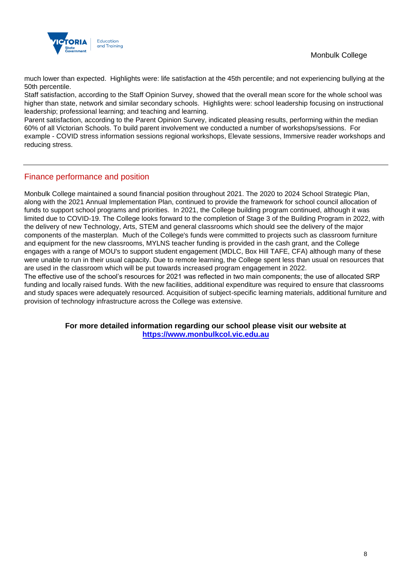

much lower than expected. Highlights were: life satisfaction at the 45th percentile; and not experiencing bullying at the 50th percentile.

Staff satisfaction, according to the Staff Opinion Survey, showed that the overall mean score for the whole school was higher than state, network and similar secondary schools. Highlights were: school leadership focusing on instructional leadership; professional learning; and teaching and learning.

Parent satisfaction, according to the Parent Opinion Survey, indicated pleasing results, performing within the median 60% of all Victorian Schools. To build parent involvement we conducted a number of workshops/sessions. For example - COVID stress information sessions regional workshops, Elevate sessions, Immersive reader workshops and reducing stress.

## Finance performance and position

Monbulk College maintained a sound financial position throughout 2021. The 2020 to 2024 School Strategic Plan, along with the 2021 Annual Implementation Plan, continued to provide the framework for school council allocation of funds to support school programs and priorities. In 2021, the College building program continued, although it was limited due to COVID-19. The College looks forward to the completion of Stage 3 of the Building Program in 2022, with the delivery of new Technology, Arts, STEM and general classrooms which should see the delivery of the major components of the masterplan. Much of the College's funds were committed to projects such as classroom furniture and equipment for the new classrooms, MYLNS teacher funding is provided in the cash grant, and the College engages with a range of MOU's to support student engagement (MDLC, Box Hill TAFE, CFA) although many of these were unable to run in their usual capacity. Due to remote learning, the College spent less than usual on resources that are used in the classroom which will be put towards increased program engagement in 2022.

The effective use of the school's resources for 2021 was reflected in two main components; the use of allocated SRP funding and locally raised funds. With the new facilities, additional expenditure was required to ensure that classrooms and study spaces were adequately resourced. Acquisition of subject-specific learning materials, additional furniture and provision of technology infrastructure across the College was extensive.

> **For more detailed information regarding our school please visit our website at [https://www.monbulkcol.vic.edu.au](https://www.monbulkcol.vic.edu.au/)**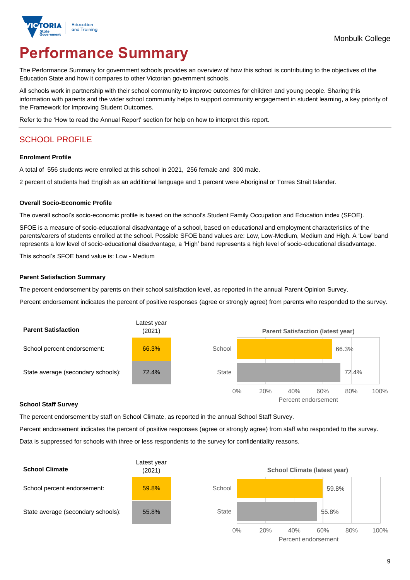

# **Performance Summary**

The Performance Summary for government schools provides an overview of how this school is contributing to the objectives of the Education State and how it compares to other Victorian government schools.

All schools work in partnership with their school community to improve outcomes for children and young people. Sharing this information with parents and the wider school community helps to support community engagement in student learning, a key priority of the Framework for Improving Student Outcomes.

Refer to the 'How to read the Annual Report' section for help on how to interpret this report.

# SCHOOL PROFILE

#### **Enrolment Profile**

A total of 556 students were enrolled at this school in 2021, 256 female and 300 male.

2 percent of students had English as an additional language and 1 percent were Aboriginal or Torres Strait Islander.

#### **Overall Socio-Economic Profile**

The overall school's socio-economic profile is based on the school's Student Family Occupation and Education index (SFOE).

SFOE is a measure of socio-educational disadvantage of a school, based on educational and employment characteristics of the parents/carers of students enrolled at the school. Possible SFOE band values are: Low, Low-Medium, Medium and High. A 'Low' band represents a low level of socio-educational disadvantage, a 'High' band represents a high level of socio-educational disadvantage.

This school's SFOE band value is: Low - Medium

#### **Parent Satisfaction Summary**

The percent endorsement by parents on their school satisfaction level, as reported in the annual Parent Opinion Survey.

Percent endorsement indicates the percent of positive responses (agree or strongly agree) from parents who responded to the survey.



#### **School Staff Survey**

The percent endorsement by staff on School Climate, as reported in the annual School Staff Survey.

Percent endorsement indicates the percent of positive responses (agree or strongly agree) from staff who responded to the survey. Data is suppressed for schools with three or less respondents to the survey for confidentiality reasons.

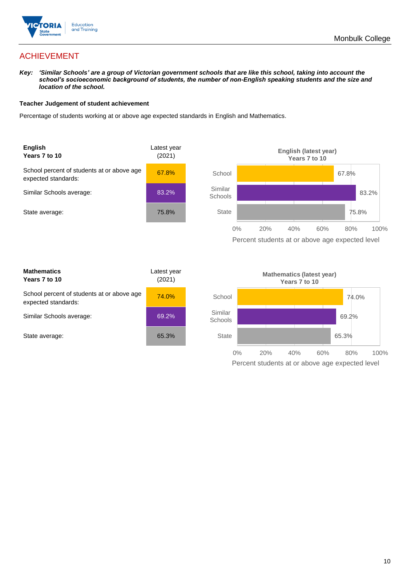

# ACHIEVEMENT

*Key: 'Similar Schools' are a group of Victorian government schools that are like this school, taking into account the school's socioeconomic background of students, the number of non-English speaking students and the size and location of the school.*

#### **Teacher Judgement of student achievement**

Percentage of students working at or above age expected standards in English and Mathematics.



| <b>Mathematics</b><br>Years 7 to 10                               | Latest year<br>(2021) |  |
|-------------------------------------------------------------------|-----------------------|--|
| School percent of students at or above age<br>expected standards: | 74.0%                 |  |
| Similar Schools average:                                          | 69.2%                 |  |
| State average:                                                    | 65.3%                 |  |

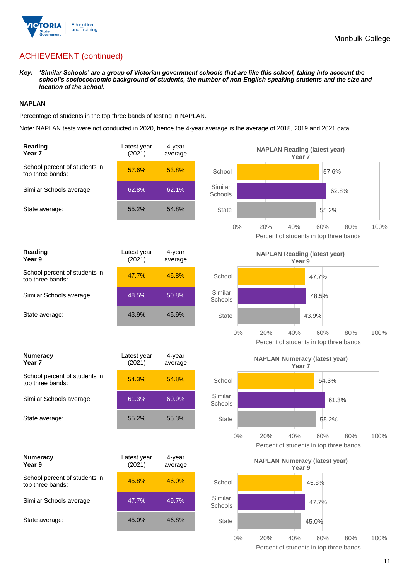

# ACHIEVEMENT (continued)

*Key: 'Similar Schools' are a group of Victorian government schools that are like this school, taking into account the school's socioeconomic background of students, the number of non-English speaking students and the size and location of the school.*

#### **NAPLAN**

Percentage of students in the top three bands of testing in NAPLAN.

Note: NAPLAN tests were not conducted in 2020, hence the 4-year average is the average of 2018, 2019 and 2021 data.

| Reading<br>Year <sub>7</sub>                      | Latest year<br>(2021) | 4-year<br>average |                    | <b>NAPLAN Reading (latest year)</b><br>Year <sub>7</sub>  |                                                              |
|---------------------------------------------------|-----------------------|-------------------|--------------------|-----------------------------------------------------------|--------------------------------------------------------------|
| School percent of students in<br>top three bands: | 57.6%                 | 53.8%             | School             |                                                           | 57.6%                                                        |
| Similar Schools average:                          | 62.8%                 | 62.1%             | Similar<br>Schools |                                                           | 62.8%                                                        |
| State average:                                    | 55.2%                 | 54.8%             | <b>State</b>       |                                                           | 55.2%                                                        |
|                                                   |                       |                   | 0%                 | 20%<br>40%                                                | 60%<br>80%<br>100%<br>Percent of students in top three bands |
| Reading<br>Year 9                                 | Latest year<br>(2021) | 4-year<br>average |                    | <b>NAPLAN Reading (latest year)</b><br>Year 9             |                                                              |
| School percent of students in<br>top three bands: | 47.7%                 | 46.8%             | School             |                                                           | 47.7%                                                        |
| Similar Schools average:                          | 48.5%                 | 50.8%             | Similar<br>Schools |                                                           | 48.5%                                                        |
| State average:                                    | 43.9%                 | 45.9%             | <b>State</b>       |                                                           | 43.9%                                                        |
|                                                   |                       |                   | $0\%$              | 20%<br>40%                                                | 100%<br>60%<br>80%<br>Percent of students in top three bands |
| <b>Numeracy</b><br>Year <sub>7</sub>              | Latest year<br>(2021) | 4-year<br>average |                    | <b>NAPLAN Numeracy (latest year)</b><br>Year <sub>7</sub> |                                                              |
| School percent of students in<br>top three bands: | 54.3%                 | 54.8%             | School             |                                                           | 54.3%                                                        |
| Similar Schools average:                          | 61.3%                 | 60.9%             | Similar<br>Schools |                                                           | 61.3%                                                        |
| State average:                                    | 55.2%                 | 55.3%             | <b>State</b>       |                                                           | 55.2%                                                        |
|                                                   |                       |                   | $0\%$              | 20%<br>40%                                                | 60%<br>80%<br>100%<br>Percent of students in top three bands |
| <b>Numeracy</b><br>Year 9                         | Latest year<br>(2021) | 4-year<br>average |                    | <b>NAPLAN Numeracy (latest year)</b><br>Year 9            |                                                              |
| School percent of students in<br>top three bands: | 45.8%                 | 46.0%             | School             |                                                           | 45.8%                                                        |
| Similar Schools average:                          | 47.7%                 | 49.7%             | Similar<br>Schools |                                                           | 47.7%                                                        |
| State average:                                    | 45.0%                 | 46.8%             | <b>State</b>       |                                                           | 45.0%                                                        |
|                                                   |                       |                   | $0\%$              | 20%<br>40%                                                | 80%<br>100%<br>60%<br>Percent of students in top three bands |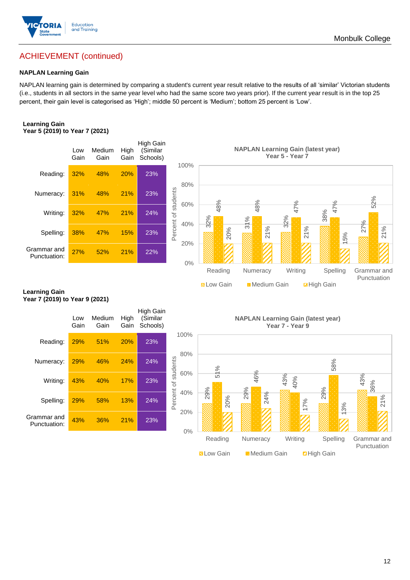

# ACHIEVEMENT (continued)

#### **NAPLAN Learning Gain**

NAPLAN learning gain is determined by comparing a student's current year result relative to the results of all 'similar' Victorian students (i.e., students in all sectors in the same year level who had the same score two years prior). If the current year result is in the top 25 percent, their gain level is categorised as 'High'; middle 50 percent is 'Medium'; bottom 25 percent is 'Low'.

#### **Learning Gain Year 5 (2019) to Year 7 (2021)**



#### **Learning Gain Year 7 (2019) to Year 9 (2021)**

|                             | Low<br>Gain | Medium<br>Gain | High<br>Gain | High Gain<br>(Similar<br>Schools) |                            | N          |
|-----------------------------|-------------|----------------|--------------|-----------------------------------|----------------------------|------------|
| Reading:                    | 29%         | 51%            | 20%          | 23%                               | 100%                       |            |
| Numeracy:                   | 29%         | 46%            | 24%          | 24%                               | 80%                        | 1%         |
| Writing:                    | 43%         | 40%            | 17%          | 23%                               | Percent of students<br>60% | Ľ۵         |
| Spelling:                   | 29%         | 58%            | 13%          | 24%                               | 40%                        | 29%<br>20% |
| Grammar and<br>Punctuation: | 43%         | 36%            | 21%          | 23%                               | 20%                        |            |
|                             |             |                |              |                                   | 0%                         | -          |

**NAPLAN Learning Gain (latest year) Year 7 - Year 9**

**N** Low Gain **Medium Gain E** High Gain

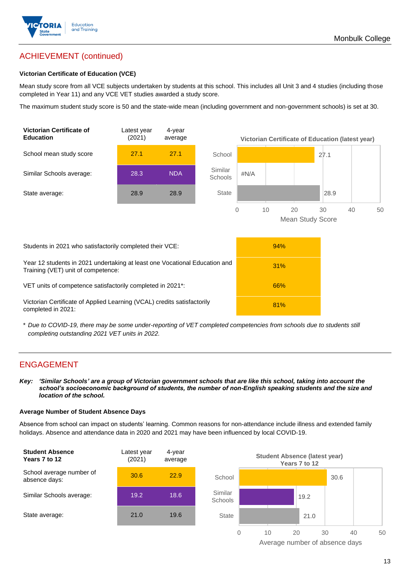

# ACHIEVEMENT (continued)

#### **Victorian Certificate of Education (VCE)**

Mean study score from all VCE subjects undertaken by students at this school. This includes all Unit 3 and 4 studies (including those completed in Year 11) and any VCE VET studies awarded a study score.

The maximum student study score is 50 and the state-wide mean (including government and non-government schools) is set at 30.



\* *Due to COVID-19, there may be some under-reporting of VET completed competencies from schools due to students still completing outstanding 2021 VET units in 2022.*

### ENGAGEMENT

*Key: 'Similar Schools' are a group of Victorian government schools that are like this school, taking into account the school's socioeconomic background of students, the number of non-English speaking students and the size and location of the school.*

#### **Average Number of Student Absence Days**

Absence from school can impact on students' learning. Common reasons for non-attendance include illness and extended family holidays. Absence and attendance data in 2020 and 2021 may have been influenced by local COVID-19.



Average number of absence days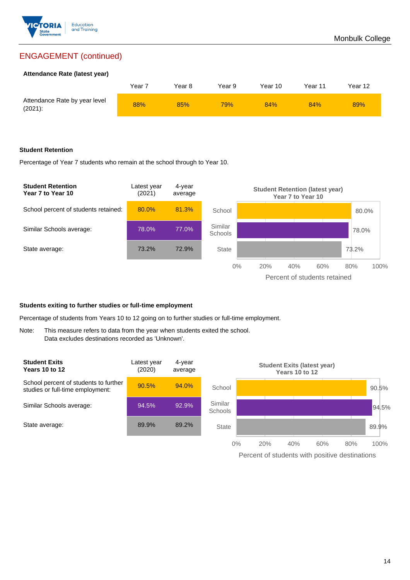

## ENGAGEMENT (continued)

#### **Attendance Rate (latest year)**

|                                             | Year 7 | Year 8 | Year 9 | Year 10 | Year 11 | Year 12 |
|---------------------------------------------|--------|--------|--------|---------|---------|---------|
| Attendance Rate by year level<br>$(2021)$ : | 88%    | 85%    | 79%    | 84%     | 84%     | 89%     |

#### **Student Retention**

Percentage of Year 7 students who remain at the school through to Year 10.



#### **Students exiting to further studies or full-time employment**

Percentage of students from Years 10 to 12 going on to further studies or full-time employment.

Note: This measure refers to data from the year when students exited the school. Data excludes destinations recorded as 'Unknown'.



Percent of students with positive destinations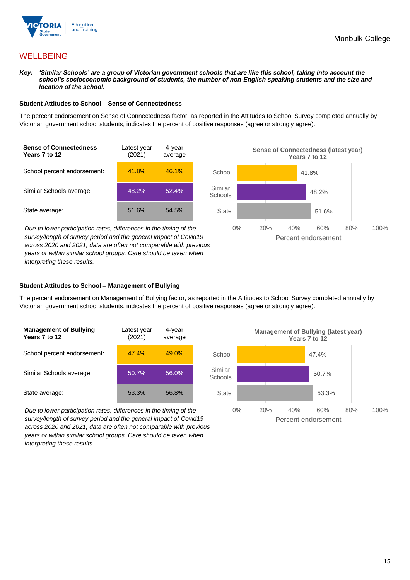

## **WELLBEING**

*Key: 'Similar Schools' are a group of Victorian government schools that are like this school, taking into account the school's socioeconomic background of students, the number of non-English speaking students and the size and location of the school.*

#### **Student Attitudes to School – Sense of Connectedness**

The percent endorsement on Sense of Connectedness factor, as reported in the Attitudes to School Survey completed annually by Victorian government school students, indicates the percent of positive responses (agree or strongly agree).



*Due to lower participation rates, differences in the timing of the survey/length of survey period and the general impact of Covid19 across 2020 and 2021, data are often not comparable with previous years or within similar school groups. Care should be taken when interpreting these results.*



#### **Student Attitudes to School – Management of Bullying**

The percent endorsement on Management of Bullying factor, as reported in the Attitudes to School Survey completed annually by Victorian government school students, indicates the percent of positive responses (agree or strongly agree).

| <b>Management of Bullying</b><br>Years 7 to 12 | Latest year<br>(2021) | 4-year<br>average |  |
|------------------------------------------------|-----------------------|-------------------|--|
| School percent endorsement:                    | 47.4%                 | 49.0%             |  |
| Similar Schools average:                       | 50.7%                 | 56.0%             |  |
| State average:                                 | 53.3%                 | 56.8%             |  |

*Due to lower participation rates, differences in the timing of the survey/length of survey period and the general impact of Covid19 across 2020 and 2021, data are often not comparable with previous years or within similar school groups. Care should be taken when interpreting these results.*

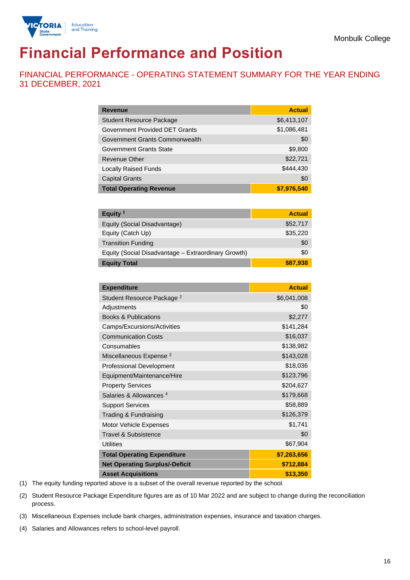

# **Financial Performance and Position**

FINANCIAL PERFORMANCE - OPERATING STATEMENT SUMMARY FOR THE YEAR ENDING 31 DECEMBER, 2021

| <b>Revenue</b>                  | <b>Actual</b> |
|---------------------------------|---------------|
| <b>Student Resource Package</b> | \$6,413,107   |
| Government Provided DET Grants  | \$1,086,481   |
| Government Grants Commonwealth  | \$0           |
| <b>Government Grants State</b>  | \$9,800       |
| <b>Revenue Other</b>            | \$22,721      |
| <b>Locally Raised Funds</b>     | \$444,430     |
| <b>Capital Grants</b>           | \$0           |
| <b>Total Operating Revenue</b>  | \$7,976,540   |

| Equity $1$                                          | <b>Actual</b> |
|-----------------------------------------------------|---------------|
| Equity (Social Disadvantage)                        | \$52,717      |
| Equity (Catch Up)                                   | \$35,220      |
| <b>Transition Funding</b>                           | \$0           |
| Equity (Social Disadvantage - Extraordinary Growth) | \$0           |
| <b>Equity Total</b>                                 | \$87,938      |

| <b>Expenditure</b>                    | <b>Actual</b> |
|---------------------------------------|---------------|
| Student Resource Package <sup>2</sup> | \$6,041,008   |
| Adjustments                           | \$0           |
| <b>Books &amp; Publications</b>       | \$2,277       |
| Camps/Excursions/Activities           | \$141,284     |
| <b>Communication Costs</b>            | \$16,037      |
| Consumables                           | \$138,982     |
| Miscellaneous Expense <sup>3</sup>    | \$143,028     |
| <b>Professional Development</b>       | \$18,036      |
| Equipment/Maintenance/Hire            | \$123,796     |
| <b>Property Services</b>              | \$204,627     |
| Salaries & Allowances <sup>4</sup>    | \$179,668     |
| <b>Support Services</b>               | \$58,889      |
| Trading & Fundraising                 | \$126,379     |
| Motor Vehicle Expenses                | \$1,741       |
| Travel & Subsistence                  | \$0           |
| <b>Utilities</b>                      | \$67,904      |
| <b>Total Operating Expenditure</b>    | \$7,263,656   |
| <b>Net Operating Surplus/-Deficit</b> | \$712,884     |
| <b>Asset Acquisitions</b>             | \$13,350      |

(1) The equity funding reported above is a subset of the overall revenue reported by the school.

(2) Student Resource Package Expenditure figures are as of 10 Mar 2022 and are subject to change during the reconciliation process.

(3) Miscellaneous Expenses include bank charges, administration expenses, insurance and taxation charges.

(4) Salaries and Allowances refers to school-level payroll.